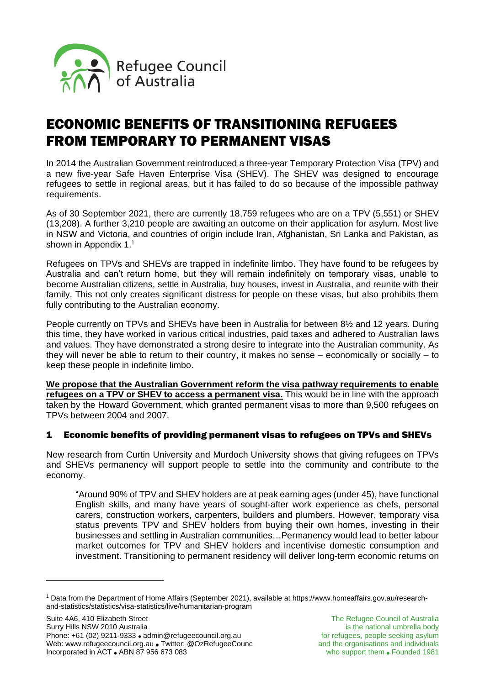

# ECONOMIC BENEFITS OF TRANSITIONING REFUGEES FROM TEMPORARY TO PERMANENT VISAS

In 2014 the Australian Government reintroduced a three-year Temporary Protection Visa (TPV) and a new five-year Safe Haven Enterprise Visa (SHEV). The SHEV was designed to encourage refugees to settle in regional areas, but it has failed to do so because of the impossible pathway requirements.

As of 30 September 2021, there are currently 18,759 refugees who are on a TPV (5,551) or SHEV (13,208). A further 3,210 people are awaiting an outcome on their application for asylum. Most live in NSW and Victoria, and countries of origin include Iran, Afghanistan, Sri Lanka and Pakistan, as shown in Appendix 1.<sup>1</sup>

Refugees on TPVs and SHEVs are trapped in indefinite limbo. They have found to be refugees by Australia and can't return home, but they will remain indefinitely on temporary visas, unable to become Australian citizens, settle in Australia, buy houses, invest in Australia, and reunite with their family. This not only creates significant distress for people on these visas, but also prohibits them fully contributing to the Australian economy.

People currently on TPVs and SHEVs have been in Australia for between 8½ and 12 years. During this time, they have worked in various critical industries, paid taxes and adhered to Australian laws and values. They have demonstrated a strong desire to integrate into the Australian community. As they will never be able to return to their country, it makes no sense – economically or socially – to keep these people in indefinite limbo.

**We propose that the Australian Government reform the visa pathway requirements to enable refugees on a TPV or SHEV to access a permanent visa.** This would be in line with the approach taken by the Howard Government, which granted permanent visas to more than 9,500 refugees on TPVs between 2004 and 2007.

### 1 Economic benefits of providing permanent visas to refugees on TPVs and SHEVs

New research from Curtin University and Murdoch University shows that giving refugees on TPVs and SHEVs permanency will support people to settle into the community and contribute to the economy.

"Around 90% of TPV and SHEV holders are at peak earning ages (under 45), have functional English skills, and many have years of sought-after work experience as chefs, personal carers, construction workers, carpenters, builders and plumbers. However, temporary visa status prevents TPV and SHEV holders from buying their own homes, investing in their businesses and settling in Australian communities…Permanency would lead to better labour market outcomes for TPV and SHEV holders and incentivise domestic consumption and investment. Transitioning to permanent residency will deliver long-term economic returns on

<sup>1</sup> Data from the Department of Home Affairs (September 2021), available at [https://www.homeaffairs.gov.au/research](https://www.homeaffairs.gov.au/research-and-statistics/statistics/visa-statistics/live/humanitarian-program)[and-statistics/statistics/visa-statistics/live/humanitarian-program](https://www.homeaffairs.gov.au/research-and-statistics/statistics/visa-statistics/live/humanitarian-program)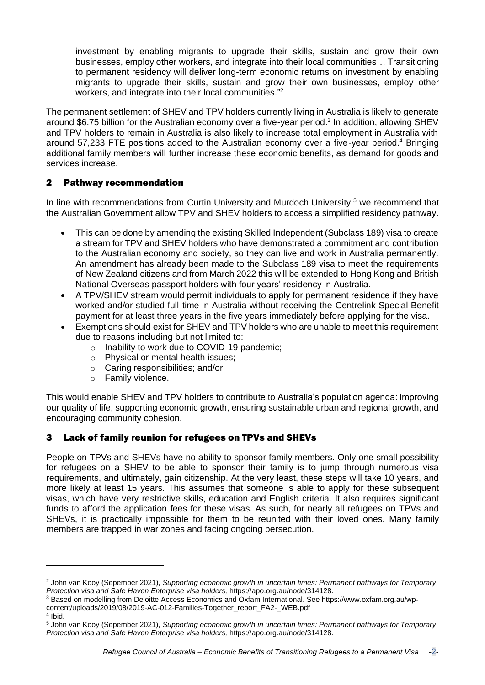investment by enabling migrants to upgrade their skills, sustain and grow their own businesses, employ other workers, and integrate into their local communities… Transitioning to permanent residency will deliver long-term economic returns on investment by enabling migrants to upgrade their skills, sustain and grow their own businesses, employ other workers, and integrate into their local communities."<sup>2</sup>

The permanent settlement of SHEV and TPV holders currently living in Australia is likely to generate around \$6.75 billion for the Australian economy over a five-year period.<sup>3</sup> In addition, allowing SHEV and TPV holders to remain in Australia is also likely to increase total employment in Australia with around 57,233 FTE positions added to the Australian economy over a five-year period.<sup>4</sup> Bringing additional family members will further increase these economic benefits, as demand for goods and services increase.

### 2 Pathway recommendation

In line with recommendations from Curtin University and Murdoch University,<sup>5</sup> we recommend that the Australian Government allow TPV and SHEV holders to access a simplified residency pathway.

- This can be done by amending the existing Skilled Independent (Subclass 189) visa to create a stream for TPV and SHEV holders who have demonstrated a commitment and contribution to the Australian economy and society, so they can live and work in Australia permanently. An amendment has already been made to the Subclass 189 visa to meet the requirements of New Zealand citizens and from March 2022 this will be extended to Hong Kong and British National Overseas passport holders with four years' residency in Australia.
- A TPV/SHEV stream would permit individuals to apply for permanent residence if they have worked and/or studied full-time in Australia without receiving the Centrelink Special Benefit payment for at least three years in the five years immediately before applying for the visa.
- Exemptions should exist for SHEV and TPV holders who are unable to meet this requirement due to reasons including but not limited to:
	- o Inability to work due to COVID-19 pandemic;
	- o Physical or mental health issues;
	- o Caring responsibilities; and/or
	- o Family violence.

This would enable SHEV and TPV holders to contribute to Australia's population agenda: improving our quality of life, supporting economic growth, ensuring sustainable urban and regional growth, and encouraging community cohesion.

### 3 Lack of family reunion for refugees on TPVs and SHEVs

People on TPVs and SHEVs have no ability to sponsor family members. Only one small possibility for refugees on a SHEV to be able to sponsor their family is to jump through numerous visa requirements, and ultimately, gain citizenship. At the very least, these steps will take 10 years, and more likely at least 15 years. This assumes that someone is able to apply for these subsequent visas, which have very restrictive skills, education and English criteria. It also requires significant funds to afford the application fees for these visas. As such, for nearly all refugees on TPVs and SHEVs, it is practically impossible for them to be reunited with their loved ones. Many family members are trapped in war zones and facing ongoing persecution.

<sup>2</sup> John van Kooy (Sepember 2021), *Supporting economic growth in uncertain times: Permanent pathways for Temporary Protection visa and Safe Haven Enterprise visa holders,* [https://apo.org.au/node/314128.](https://apo.org.au/node/314128)

<sup>3</sup> Based on modelling from Deloitte Access Economics and Oxfam International. See [https://www.oxfam.org.au/wp](https://www.oxfam.org.au/wp-content/uploads/2019/08/2019-AC-012-Families-Together_report_FA2-_WEB.pdf)[content/uploads/2019/08/2019-AC-012-Families-Together\\_report\\_FA2-\\_WEB.pdf](https://www.oxfam.org.au/wp-content/uploads/2019/08/2019-AC-012-Families-Together_report_FA2-_WEB.pdf) 4 Ibid.

<sup>5</sup> John van Kooy (Sepember 2021), *Supporting economic growth in uncertain times: Permanent pathways for Temporary Protection visa and Safe Haven Enterprise visa holders,* [https://apo.org.au/node/314128.](https://apo.org.au/node/314128)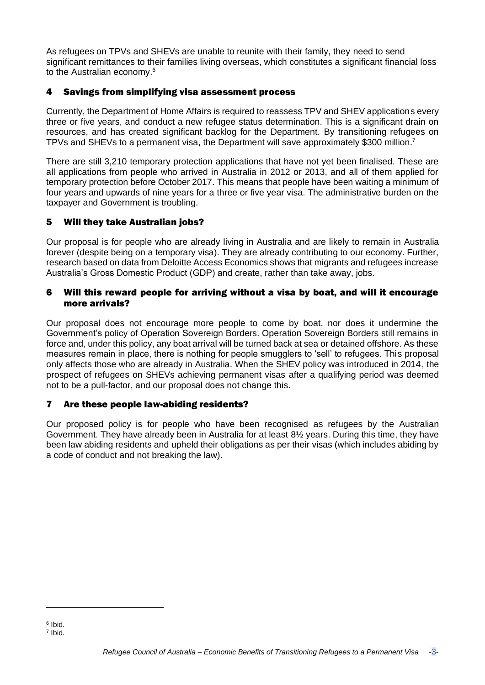As refugees on TPVs and SHEVs are unable to reunite with their family, they need to send significant remittances to their families living overseas, which constitutes a significant financial loss to the Australian economy.<sup>6</sup>

### 4 Savings from simplifying visa assessment process

Currently, the Department of Home Affairs is required to reassess TPV and SHEV applications every three or five years, and conduct a new refugee status determination. This is a significant drain on resources, and has created significant backlog for the Department. By transitioning refugees on TPVs and SHEVs to a permanent visa, the Department will save approximately \$300 million.<sup>7</sup>

There are still 3,210 temporary protection applications that have not yet been finalised. These are all applications from people who arrived in Australia in 2012 or 2013, and all of them applied for temporary protection before October 2017. This means that people have been waiting a minimum of four years and upwards of nine years for a three or five year visa. The administrative burden on the taxpayer and Government is troubling.

## 5 Will they take Australian jobs?

Our proposal is for people who are already living in Australia and are likely to remain in Australia forever (despite being on a temporary visa). They are already contributing to our economy. Further, research based on data from Deloitte Access Economics shows that migrants and refugees increase Australia's Gross Domestic Product (GDP) and create, rather than take away, jobs.

#### 6 Will this reward people for arriving without a visa by boat, and will it encourage more arrivals?

Our proposal does not encourage more people to come by boat, nor does it undermine the Government's policy of Operation Sovereign Borders. Operation Sovereign Borders still remains in force and, under this policy, any boat arrival will be turned back at sea or detained offshore. As these measures remain in place, there is nothing for people smugglers to 'sell' to refugees. This proposal only affects those who are already in Australia. When the SHEV policy was introduced in 2014, the prospect of refugees on SHEVs achieving permanent visas after a qualifying period was deemed not to be a pull-factor, and our proposal does not change this.

### 7 Are these people law-abiding residents?

Our proposed policy is for people who have been recognised as refugees by the Australian Government. They have already been in Australia for at least 8½ years. During this time, they have been law abiding residents and upheld their obligations as per their visas (which includes abiding by a code of conduct and not breaking the law).

<sup>&</sup>lt;sup>6</sup> Ibid.

<sup>7</sup> Ibid.